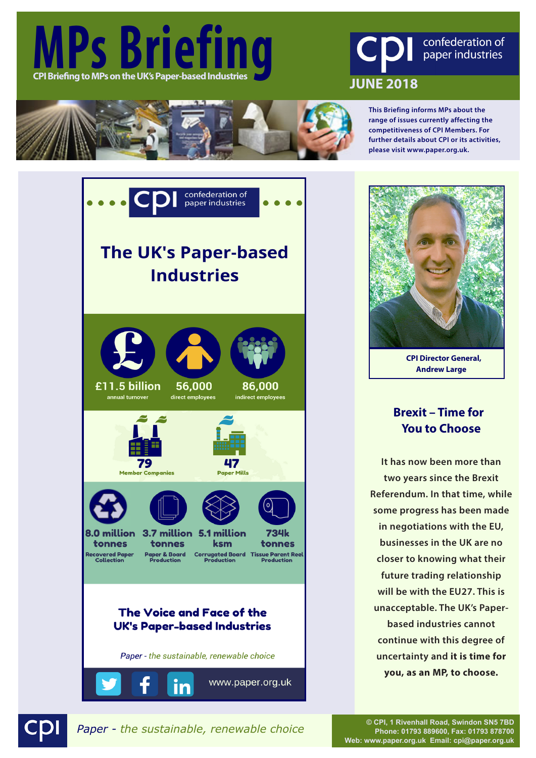





**This Briefing informs MPs about the range of issues currently affecting the competitiveness of CPI Members. For further details about CPI or its activities, please visit www.paper.org.uk.**





**CPI Director General, Andrew Large**

## **Brexit – Time for You to Choose**

**It has now been more than two years since the Brexit Referendum. In that time, while some progress has been made in negotiations with the EU, businesses in the UK are no closer to knowing what their future trading relationship will be with the EU27. This is unacceptable. The UK's Paperbased industries cannot continue with this degree of uncertainty and it is time for you, as an MP, to choose.** 

*Paper - the sustainable, renewable choice* **© CPI, 1 Rivenhall Road, Swindon SN5 7BD** 

**Phone: 01793 889600, Fax: 01793 878700 Web: www.paper.org.uk Email: cpi@paper.org.uk**